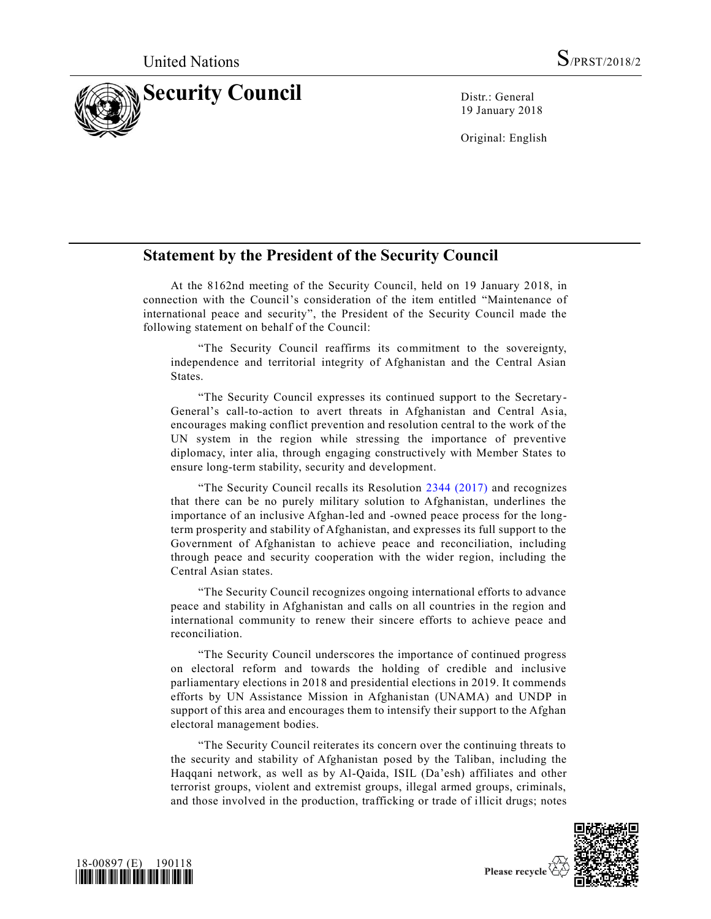

19 January 2018

Original: English

## **Statement by the President of the Security Council**

At the 8162nd meeting of the Security Council, held on 19 January 2018, in connection with the Council's consideration of the item entitled "Maintenance of international peace and security", the President of the Security Council made the following statement on behalf of the Council:

"The Security Council reaffirms its commitment to the sovereignty, independence and territorial integrity of Afghanistan and the Central Asian States.

"The Security Council expresses its continued support to the Secretary-General's call-to-action to avert threats in Afghanistan and Central Asia, encourages making conflict prevention and resolution central to the work of the UN system in the region while stressing the importance of preventive diplomacy, inter alia, through engaging constructively with Member States to ensure long-term stability, security and development.

"The Security Council recalls its Resolution [2344 \(2017\)](https://undocs.org/S/RES/2344(2017)) and recognizes that there can be no purely military solution to Afghanistan, underlines the importance of an inclusive Afghan-led and -owned peace process for the longterm prosperity and stability of Afghanistan, and expresses its full support to the Government of Afghanistan to achieve peace and reconciliation, including through peace and security cooperation with the wider region, including the Central Asian states.

"The Security Council recognizes ongoing international efforts to advance peace and stability in Afghanistan and calls on all countries in the region and international community to renew their sincere efforts to achieve peace and reconciliation.

"The Security Council underscores the importance of continued progress on electoral reform and towards the holding of credible and inclusive parliamentary elections in 2018 and presidential elections in 2019. It commends efforts by UN Assistance Mission in Afghanistan (UNAMA) and UNDP in support of this area and encourages them to intensify their support to the Afghan electoral management bodies.

"The Security Council reiterates its concern over the continuing threats to the security and stability of Afghanistan posed by the Taliban, including the Haqqani network, as well as by Al-Qaida, ISIL (Da'esh) affiliates and other terrorist groups, violent and extremist groups, illegal armed groups, criminals, and those involved in the production, trafficking or trade of illicit drugs; notes



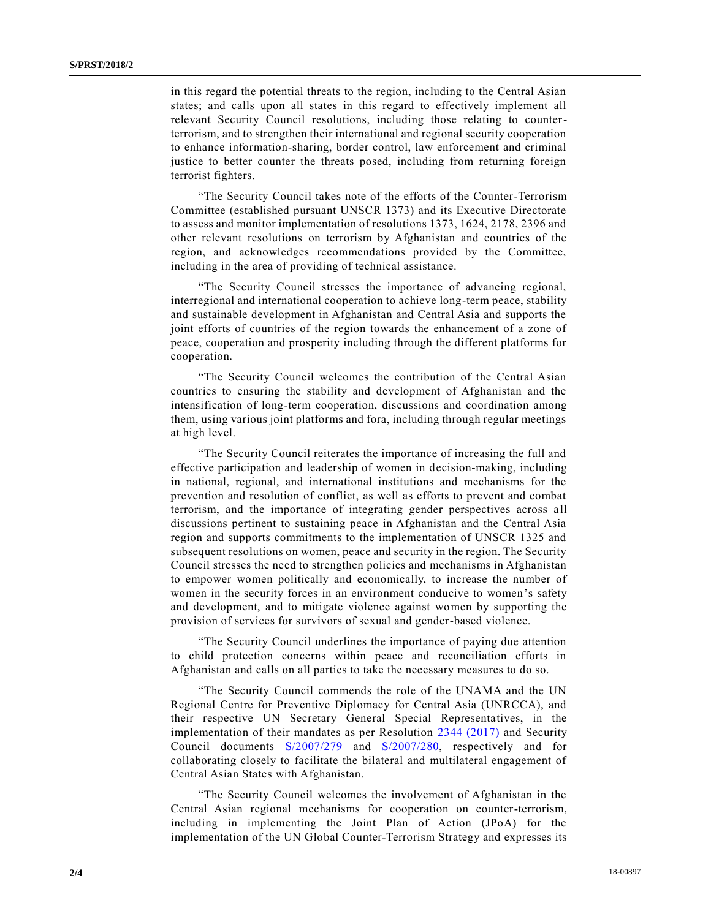in this regard the potential threats to the region, including to the Central Asian states; and calls upon all states in this regard to effectively implement all relevant Security Council resolutions, including those relating to counterterrorism, and to strengthen their international and regional security cooperation to enhance information-sharing, border control, law enforcement and criminal justice to better counter the threats posed, including from returning foreign terrorist fighters.

"The Security Council takes note of the efforts of the Counter-Terrorism Committee (established pursuant UNSCR 1373) and its Executive Directorate to assess and monitor implementation of resolutions 1373, 1624, 2178, 2396 and other relevant resolutions on terrorism by Afghanistan and countries of the region, and acknowledges recommendations provided by the Committee, including in the area of providing of technical assistance.

"The Security Council stresses the importance of advancing regional, interregional and international cooperation to achieve long-term peace, stability and sustainable development in Afghanistan and Central Asia and supports the joint efforts of countries of the region towards the enhancement of a zone of peace, cooperation and prosperity including through the different platforms for cooperation.

"The Security Council welcomes the contribution of the Central Asian countries to ensuring the stability and development of Afghanistan and the intensification of long-term cooperation, discussions and coordination among them, using various joint platforms and fora, including through regular meetings at high level.

"The Security Council reiterates the importance of increasing the full and effective participation and leadership of women in decision-making, including in national, regional, and international institutions and mechanisms for the prevention and resolution of conflict, as well as efforts to prevent and combat terrorism, and the importance of integrating gender perspectives across a ll discussions pertinent to sustaining peace in Afghanistan and the Central Asia region and supports commitments to the implementation of UNSCR 1325 and subsequent resolutions on women, peace and security in the region. The Security Council stresses the need to strengthen policies and mechanisms in Afghanistan to empower women politically and economically, to increase the number of women in the security forces in an environment conducive to women's safety and development, and to mitigate violence against women by supporting the provision of services for survivors of sexual and gender-based violence.

"The Security Council underlines the importance of paying due attention to child protection concerns within peace and reconciliation efforts in Afghanistan and calls on all parties to take the necessary measures to do so.

"The Security Council commends the role of the UNAMA and the UN Regional Centre for Preventive Diplomacy for Central Asia (UNRCCA), and their respective UN Secretary General Special Representatives, in the implementation of their mandates as per Resolution [2344 \(2017\)](https://undocs.org/S/RES/2344(2017)) and Security Council documents [S/2007/279](https://undocs.org/S/2007/279) and [S/2007/280,](https://undocs.org/S/2007/280) respectively and for collaborating closely to facilitate the bilateral and multilateral engagement of Central Asian States with Afghanistan.

"The Security Council welcomes the involvement of Afghanistan in the Central Asian regional mechanisms for cooperation on counter-terrorism, including in implementing the Joint Plan of Action (JPoA) for the implementation of the UN Global Counter-Terrorism Strategy and expresses its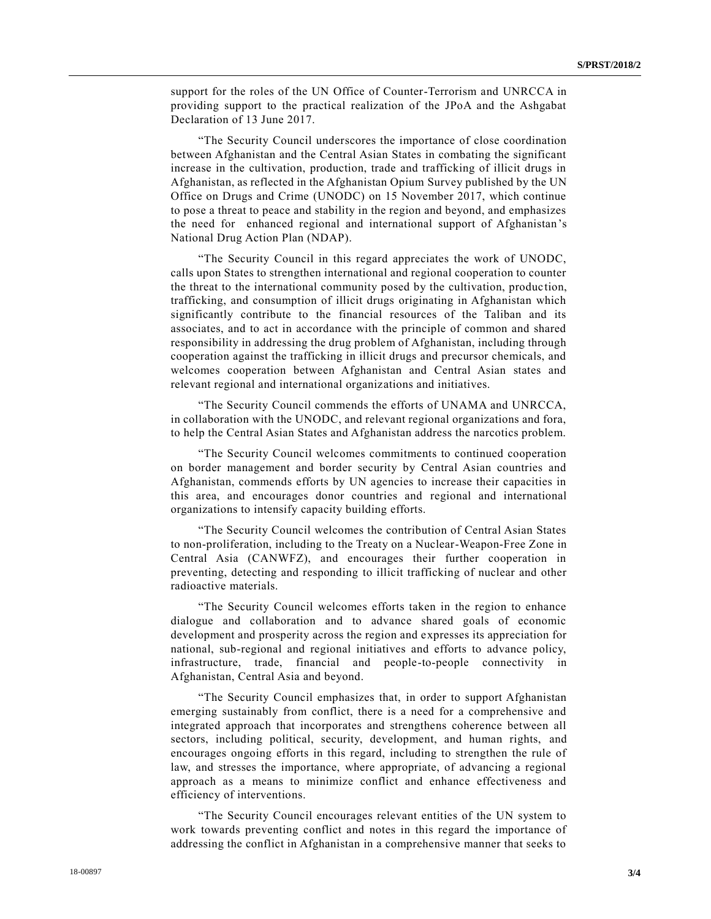support for the roles of the UN Office of Counter-Terrorism and UNRCCA in providing support to the practical realization of the JPoA and the Ashgabat Declaration of 13 June 2017.

"The Security Council underscores the importance of close coordination between Afghanistan and the Central Asian States in combating the significant increase in the cultivation, production, trade and trafficking of illicit drugs in Afghanistan, as reflected in the Afghanistan Opium Survey published by the UN Office on Drugs and Crime (UNODC) on 15 November 2017, which continue to pose a threat to peace and stability in the region and beyond, and emphasizes the need for enhanced regional and international support of Afghanistan's National Drug Action Plan (NDAP).

"The Security Council in this regard appreciates the work of UNODC, calls upon States to strengthen international and regional cooperation to counter the threat to the international community posed by the cultivation, produc tion, trafficking, and consumption of illicit drugs originating in Afghanistan which significantly contribute to the financial resources of the Taliban and its associates, and to act in accordance with the principle of common and shared responsibility in addressing the drug problem of Afghanistan, including through cooperation against the trafficking in illicit drugs and precursor chemicals, and welcomes cooperation between Afghanistan and Central Asian states and relevant regional and international organizations and initiatives.

"The Security Council commends the efforts of UNAMA and UNRCCA, in collaboration with the UNODC, and relevant regional organizations and fora, to help the Central Asian States and Afghanistan address the narcotics problem.

"The Security Council welcomes commitments to continued cooperation on border management and border security by Central Asian countries and Afghanistan, commends efforts by UN agencies to increase their capacities in this area, and encourages donor countries and regional and international organizations to intensify capacity building efforts.

"The Security Council welcomes the contribution of Central Asian States to non-proliferation, including to the Treaty on a Nuclear-Weapon-Free Zone in Central Asia (CANWFZ), and encourages their further cooperation in preventing, detecting and responding to illicit trafficking of nuclear and other radioactive materials.

"The Security Council welcomes efforts taken in the region to enhance dialogue and collaboration and to advance shared goals of economic development and prosperity across the region and expresses its appreciation for national, sub-regional and regional initiatives and efforts to advance policy, infrastructure, trade, financial and people-to-people connectivity in Afghanistan, Central Asia and beyond.

"The Security Council emphasizes that, in order to support Afghanistan emerging sustainably from conflict, there is a need for a comprehensive and integrated approach that incorporates and strengthens coherence between all sectors, including political, security, development, and human rights, and encourages ongoing efforts in this regard, including to strengthen the rule of law, and stresses the importance, where appropriate, of advancing a regional approach as a means to minimize conflict and enhance effectiveness and efficiency of interventions.

"The Security Council encourages relevant entities of the UN system to work towards preventing conflict and notes in this regard the importance of addressing the conflict in Afghanistan in a comprehensive manner that seeks to